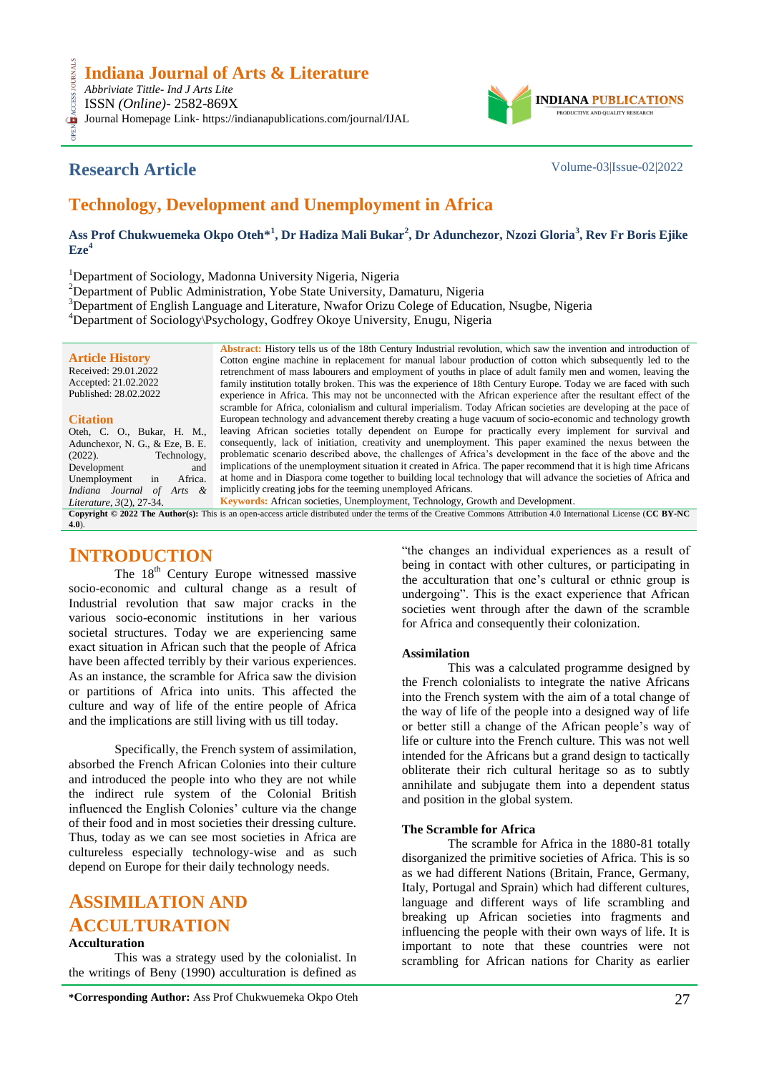

# **Research Article** Volume-03|Issue-02|2022

**CESS.** 

# **Technology, Development and Unemployment in Africa**

**Ass Prof Chukwuemeka Okpo Oteh\*<sup>1</sup> , Dr Hadiza Mali Bukar<sup>2</sup> , Dr Adunchezor, Nzozi Gloria<sup>3</sup> , Rev Fr Boris Ejike**   $Eze<sup>4</sup>$ 

<sup>1</sup>Department of Sociology, Madonna University Nigeria, Nigeria

<sup>2</sup>Department of Public Administration, Yobe State University, Damaturu, Nigeria

<sup>3</sup>Department of English Language and Literature, Nwafor Orizu Colege of Education, Nsugbe, Nigeria

<sup>4</sup>Department of Sociology\Psychology, Godfrey Okoye University, Enugu, Nigeria

|                                                                                                                                                                    | Abstract: History tells us of the 18th Century Industrial revolution, which saw the invention and introduction of  |  |
|--------------------------------------------------------------------------------------------------------------------------------------------------------------------|--------------------------------------------------------------------------------------------------------------------|--|
| <b>Article History</b>                                                                                                                                             | Cotton engine machine in replacement for manual labour production of cotton which subsequently led to the          |  |
| Received: 29.01.2022                                                                                                                                               | retrenchment of mass labourers and employment of youths in place of adult family men and women, leaving the        |  |
| Accepted: 21.02.2022                                                                                                                                               | family institution totally broken. This was the experience of 18th Century Europe. Today we are faced with such    |  |
| Published: 28.02.2022                                                                                                                                              | experience in Africa. This may not be unconnected with the African experience after the resultant effect of the    |  |
|                                                                                                                                                                    | scramble for Africa, colonialism and cultural imperialism. Today African societies are developing at the pace of   |  |
| <b>Citation</b>                                                                                                                                                    | European technology and advancement thereby creating a huge vacuum of socio-economic and technology growth         |  |
| Oteh, C. O., Bukar, H. M.,                                                                                                                                         | leaving African societies totally dependent on Europe for practically every implement for survival and             |  |
| Adunchexor, N. G., & Eze, B. E.                                                                                                                                    | consequently, lack of initiation, creativity and unemployment. This paper examined the nexus between the           |  |
| Technology,<br>$(2022)$ .                                                                                                                                          | problematic scenario described above, the challenges of Africa's development in the face of the above and the      |  |
| Development<br>and                                                                                                                                                 | implications of the unemployment situation it created in Africa. The paper recommend that it is high time Africans |  |
| Africa.<br>Unemployment<br>in                                                                                                                                      | at home and in Diaspora come together to building local technology that will advance the societies of Africa and   |  |
| Indiana Journal of<br>Arts &                                                                                                                                       | implicitly creating jobs for the teeming unemployed Africans.                                                      |  |
| Literature, 3(2), 27-34.                                                                                                                                           | <b>Keywords:</b> African societies, Unemployment, Technology, Growth and Development.                              |  |
| Copyright © 2022 The Author(s): This is an open-access article distributed under the terms of the Creative Commons Attribution 4.0 International License (CC BY-NC |                                                                                                                    |  |
| (4.0).                                                                                                                                                             |                                                                                                                    |  |

## **INTRODUCTION**

The 18<sup>th</sup> Century Europe witnessed massive socio-economic and cultural change as a result of Industrial revolution that saw major cracks in the various socio-economic institutions in her various societal structures. Today we are experiencing same exact situation in African such that the people of Africa have been affected terribly by their various experiences. As an instance, the scramble for Africa saw the division or partitions of Africa into units. This affected the culture and way of life of the entire people of Africa and the implications are still living with us till today.

Specifically, the French system of assimilation, absorbed the French African Colonies into their culture and introduced the people into who they are not while the indirect rule system of the Colonial British influenced the English Colonies' culture via the change of their food and in most societies their dressing culture. Thus, today as we can see most societies in Africa are cultureless especially technology-wise and as such depend on Europe for their daily technology needs.

# **ASSIMILATION AND ACCULTURATION**

### **Acculturation**

This was a strategy used by the colonialist. In the writings of Beny (1990) acculturation is defined as

**\*Corresponding Author:** Ass Prof Chukwuemeka Okpo Oteh 27

"the changes an individual experiences as a result of being in contact with other cultures, or participating in the acculturation that one's cultural or ethnic group is undergoing". This is the exact experience that African societies went through after the dawn of the scramble for Africa and consequently their colonization.

## **Assimilation**

This was a calculated programme designed by the French colonialists to integrate the native Africans into the French system with the aim of a total change of the way of life of the people into a designed way of life or better still a change of the African people's way of life or culture into the French culture. This was not well intended for the Africans but a grand design to tactically obliterate their rich cultural heritage so as to subtly annihilate and subjugate them into a dependent status and position in the global system.

## **The Scramble for Africa**

The scramble for Africa in the 1880-81 totally disorganized the primitive societies of Africa. This is so as we had different Nations (Britain, France, Germany, Italy, Portugal and Sprain) which had different cultures, language and different ways of life scrambling and breaking up African societies into fragments and influencing the people with their own ways of life. It is important to note that these countries were not scrambling for African nations for Charity as earlier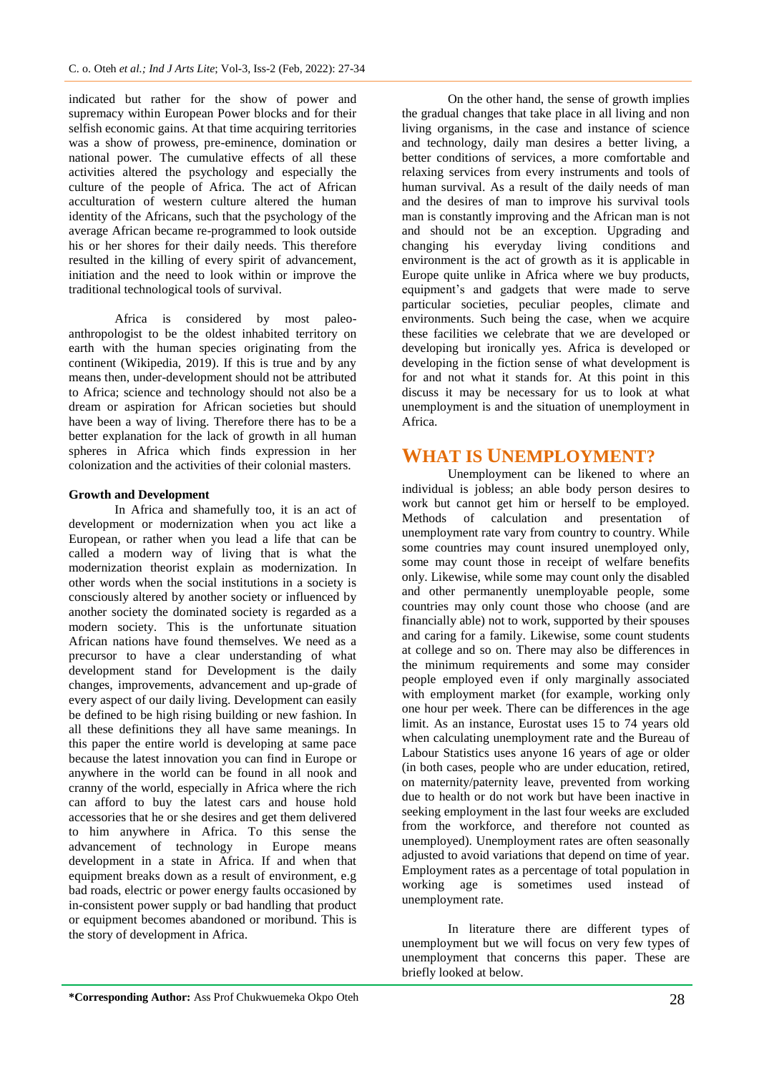indicated but rather for the show of power and supremacy within European Power blocks and for their selfish economic gains. At that time acquiring territories was a show of prowess, pre-eminence, domination or national power. The cumulative effects of all these activities altered the psychology and especially the culture of the people of Africa. The act of African acculturation of western culture altered the human identity of the Africans, such that the psychology of the average African became re-programmed to look outside his or her shores for their daily needs. This therefore resulted in the killing of every spirit of advancement, initiation and the need to look within or improve the traditional technological tools of survival.

Africa is considered by most paleoanthropologist to be the oldest inhabited territory on earth with the human species originating from the continent (Wikipedia, 2019). If this is true and by any means then, under-development should not be attributed to Africa; science and technology should not also be a dream or aspiration for African societies but should have been a way of living. Therefore there has to be a better explanation for the lack of growth in all human spheres in Africa which finds expression in her colonization and the activities of their colonial masters.

### **Growth and Development**

In Africa and shamefully too, it is an act of development or modernization when you act like a European, or rather when you lead a life that can be called a modern way of living that is what the modernization theorist explain as modernization. In other words when the social institutions in a society is consciously altered by another society or influenced by another society the dominated society is regarded as a modern society. This is the unfortunate situation African nations have found themselves. We need as a precursor to have a clear understanding of what development stand for Development is the daily changes, improvements, advancement and up-grade of every aspect of our daily living. Development can easily be defined to be high rising building or new fashion. In all these definitions they all have same meanings. In this paper the entire world is developing at same pace because the latest innovation you can find in Europe or anywhere in the world can be found in all nook and cranny of the world, especially in Africa where the rich can afford to buy the latest cars and house hold accessories that he or she desires and get them delivered to him anywhere in Africa. To this sense the advancement of technology in Europe means development in a state in Africa. If and when that equipment breaks down as a result of environment, e.g bad roads, electric or power energy faults occasioned by in-consistent power supply or bad handling that product or equipment becomes abandoned or moribund. This is the story of development in Africa.

On the other hand, the sense of growth implies the gradual changes that take place in all living and non living organisms, in the case and instance of science and technology, daily man desires a better living, a better conditions of services, a more comfortable and relaxing services from every instruments and tools of human survival. As a result of the daily needs of man and the desires of man to improve his survival tools man is constantly improving and the African man is not and should not be an exception. Upgrading and changing his everyday living conditions and environment is the act of growth as it is applicable in Europe quite unlike in Africa where we buy products, equipment's and gadgets that were made to serve particular societies, peculiar peoples, climate and environments. Such being the case, when we acquire these facilities we celebrate that we are developed or developing but ironically yes. Africa is developed or developing in the fiction sense of what development is for and not what it stands for. At this point in this discuss it may be necessary for us to look at what unemployment is and the situation of unemployment in Africa.

## **WHAT IS UNEMPLOYMENT?**

Unemployment can be likened to where an individual is jobless; an able body person desires to work but cannot get him or herself to be employed. Methods of calculation and presentation of unemployment rate vary from country to country. While some countries may count insured unemployed only, some may count those in receipt of welfare benefits only. Likewise, while some may count only the disabled and other permanently unemployable people, some countries may only count those who choose (and are financially able) not to work, supported by their spouses and caring for a family. Likewise, some count students at college and so on. There may also be differences in the minimum requirements and some may consider people employed even if only marginally associated with employment market (for example, working only one hour per week. There can be differences in the age limit. As an instance, Eurostat uses 15 to 74 years old when calculating unemployment rate and the Bureau of Labour Statistics uses anyone 16 years of age or older (in both cases, people who are under education, retired, on maternity/paternity leave, prevented from working due to health or do not work but have been inactive in seeking employment in the last four weeks are excluded from the workforce, and therefore not counted as unemployed). Unemployment rates are often seasonally adjusted to avoid variations that depend on time of year. Employment rates as a percentage of total population in working age is sometimes used instead of unemployment rate.

In literature there are different types of unemployment but we will focus on very few types of unemployment that concerns this paper. These are briefly looked at below.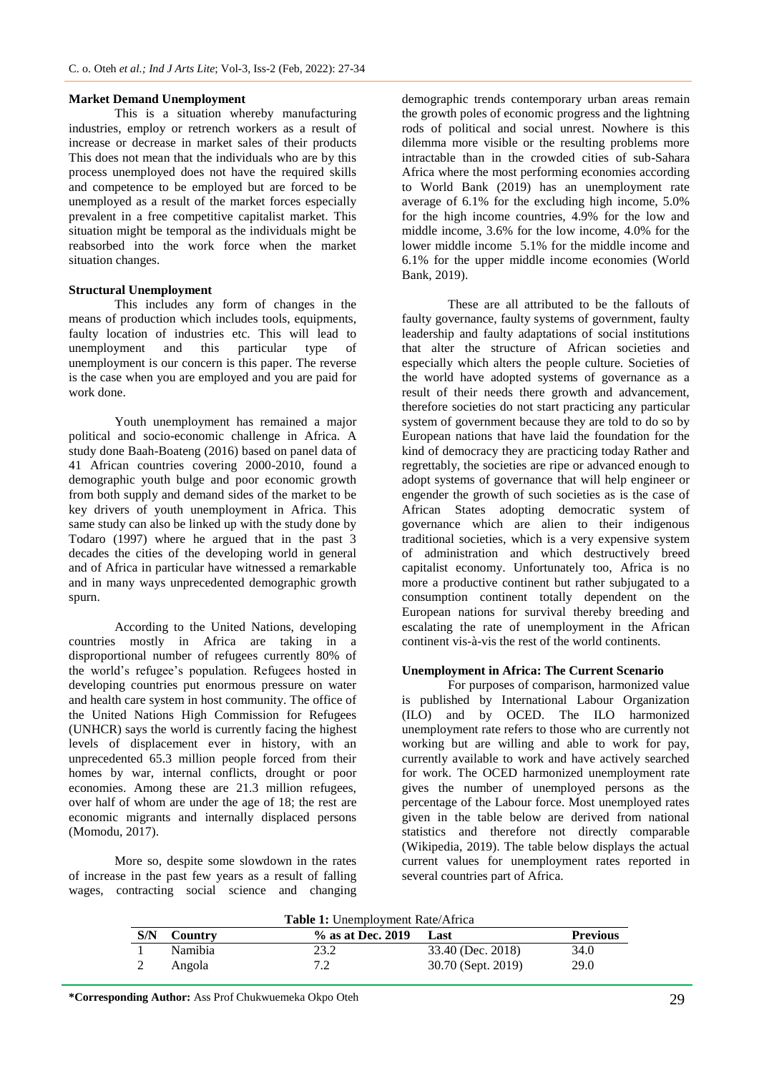#### **Market Demand Unemployment**

This is a situation whereby manufacturing industries, employ or retrench workers as a result of increase or decrease in market sales of their products This does not mean that the individuals who are by this process unemployed does not have the required skills and competence to be employed but are forced to be unemployed as a result of the market forces especially prevalent in a free competitive capitalist market. This situation might be temporal as the individuals might be reabsorbed into the work force when the market situation changes.

#### **Structural Unemployment**

This includes any form of changes in the means of production which includes tools, equipments, faulty location of industries etc. This will lead to unemployment and this particular type of unemployment and this particular type of unemployment is our concern is this paper. The reverse is the case when you are employed and you are paid for work done.

Youth unemployment has remained a major political and socio-economic challenge in Africa. A study done Baah-Boateng (2016) based on panel data of 41 African countries covering 2000-2010, found a demographic youth bulge and poor economic growth from both supply and demand sides of the market to be key drivers of youth unemployment in Africa. This same study can also be linked up with the study done by Todaro (1997) where he argued that in the past 3 decades the cities of the developing world in general and of Africa in particular have witnessed a remarkable and in many ways unprecedented demographic growth spurn.

According to the United Nations, developing countries mostly in Africa are taking in a disproportional number of refugees currently 80% of the world's refugee's population. Refugees hosted in developing countries put enormous pressure on water and health care system in host community. The office of the United Nations High Commission for Refugees (UNHCR) says the world is currently facing the highest levels of displacement ever in history, with an unprecedented 65.3 million people forced from their homes by war, internal conflicts, drought or poor economies. Among these are 21.3 million refugees, over half of whom are under the age of 18; the rest are economic migrants and internally displaced persons (Momodu, 2017).

More so, despite some slowdown in the rates of increase in the past few years as a result of falling wages, contracting social science and changing

demographic trends contemporary urban areas remain the growth poles of economic progress and the lightning rods of political and social unrest. Nowhere is this dilemma more visible or the resulting problems more intractable than in the crowded cities of sub-Sahara Africa where the most performing economies according to World Bank (2019) has an unemployment rate average of 6.1% for the excluding high income, 5.0% for the high income countries, 4.9% for the low and middle income, 3.6% for the low income, 4.0% for the lower middle income 5.1% for the middle income and 6.1% for the upper middle income economies (World Bank, 2019).

These are all attributed to be the fallouts of faulty governance, faulty systems of government, faulty leadership and faulty adaptations of social institutions that alter the structure of African societies and especially which alters the people culture. Societies of the world have adopted systems of governance as a result of their needs there growth and advancement, therefore societies do not start practicing any particular system of government because they are told to do so by European nations that have laid the foundation for the kind of democracy they are practicing today Rather and regrettably, the societies are ripe or advanced enough to adopt systems of governance that will help engineer or engender the growth of such societies as is the case of African States adopting democratic system of governance which are alien to their indigenous traditional societies, which is a very expensive system of administration and which destructively breed capitalist economy. Unfortunately too, Africa is no more a productive continent but rather subjugated to a consumption continent totally dependent on the European nations for survival thereby breeding and escalating the rate of unemployment in the African continent vis-à-vis the rest of the world continents.

#### **Unemployment in Africa: The Current Scenario**

For purposes of comparison, harmonized value is published by International Labour Organization (ILO) and by OCED. The ILO harmonized unemployment rate refers to those who are currently not working but are willing and able to work for pay, currently available to work and have actively searched for work. The OCED harmonized unemployment rate gives the number of unemployed persons as the percentage of the Labour force. Most unemployed rates given in the table below are derived from national statistics and therefore not directly comparable (Wikipedia, 2019). The table below displays the actual current values for unemployment rates reported in several countries part of Africa.

| <b>Table 1:</b> Unemployment Rate/Africa |         |                   |                    |                 |  |
|------------------------------------------|---------|-------------------|--------------------|-----------------|--|
| S/N                                      | Country | % as at Dec. 2019 | Last               | <b>Previous</b> |  |
|                                          | Namibia | 23.2              | 33.40 (Dec. 2018)  | 34.0            |  |
|                                          | Angola  | 7.2               | 30.70 (Sept. 2019) | 29.0            |  |

**\*Corresponding Author:** Ass Prof Chukwuemeka Okpo Oteh 29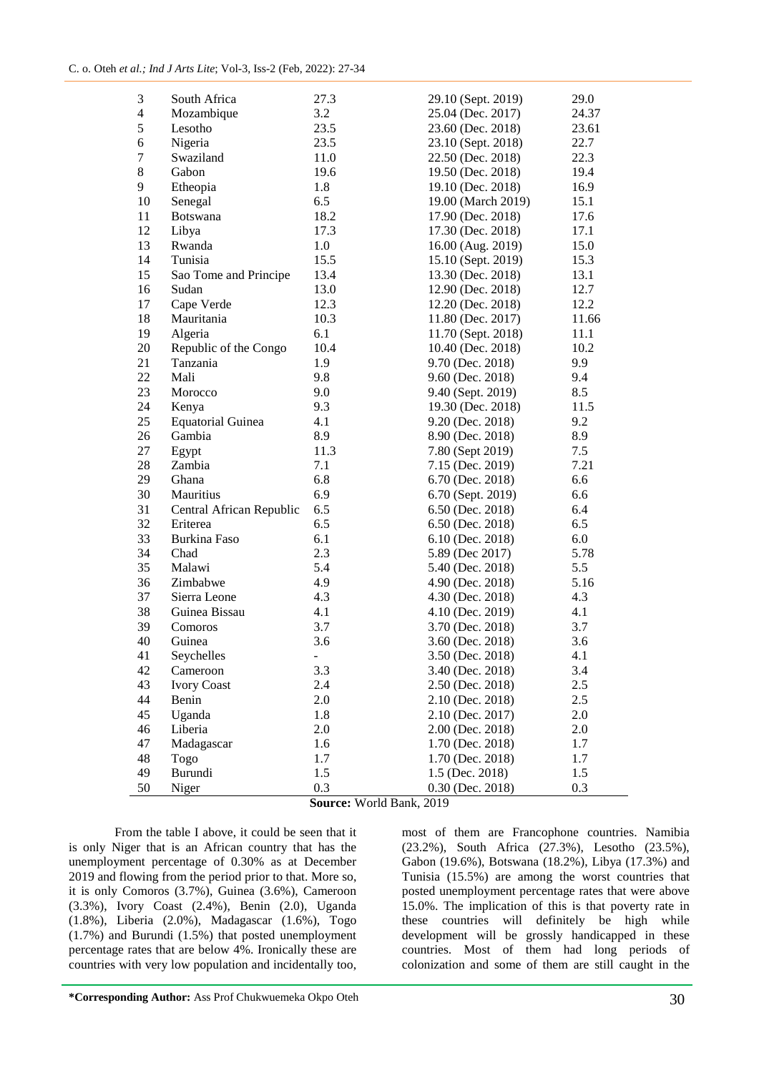| 3                       | South Africa             | 27.3                     | 29.10 (Sept. 2019) | 29.0  |
|-------------------------|--------------------------|--------------------------|--------------------|-------|
| $\overline{\mathbf{4}}$ | Mozambique               | 3.2                      | 25.04 (Dec. 2017)  | 24.37 |
| 5                       | Lesotho                  | 23.5                     | 23.60 (Dec. 2018)  | 23.61 |
| 6                       | Nigeria                  | 23.5                     | 23.10 (Sept. 2018) | 22.7  |
| $\boldsymbol{7}$        | Swaziland                | 11.0                     | 22.50 (Dec. 2018)  | 22.3  |
| 8                       | Gabon                    | 19.6                     | 19.50 (Dec. 2018)  | 19.4  |
| 9                       | Etheopia                 | 1.8                      | 19.10 (Dec. 2018)  | 16.9  |
| 10                      | Senegal                  | 6.5                      | 19.00 (March 2019) | 15.1  |
| 11                      | <b>Botswana</b>          | 18.2                     | 17.90 (Dec. 2018)  | 17.6  |
| 12                      | Libya                    | 17.3                     | 17.30 (Dec. 2018)  | 17.1  |
| 13                      | Rwanda                   | 1.0                      | 16.00 (Aug. 2019)  | 15.0  |
| 14                      | Tunisia                  | 15.5                     | 15.10 (Sept. 2019) | 15.3  |
| 15                      | Sao Tome and Principe    | 13.4                     | 13.30 (Dec. 2018)  | 13.1  |
| 16                      | Sudan                    | 13.0                     | 12.90 (Dec. 2018)  | 12.7  |
| 17                      | Cape Verde               | 12.3                     | 12.20 (Dec. 2018)  | 12.2  |
| 18                      | Mauritania               | 10.3                     | 11.80 (Dec. 2017)  | 11.66 |
| 19                      | Algeria                  | 6.1                      | 11.70 (Sept. 2018) | 11.1  |
| 20                      | Republic of the Congo    | 10.4                     | 10.40 (Dec. 2018)  | 10.2  |
| 21                      | Tanzania                 | 1.9                      | 9.70 (Dec. 2018)   | 9.9   |
| 22                      | Mali                     | 9.8                      | $9.60$ (Dec. 2018) | 9.4   |
| 23                      | Morocco                  | 9.0                      | 9.40 (Sept. 2019)  | 8.5   |
| 24                      | Kenya                    | 9.3                      | 19.30 (Dec. 2018)  | 11.5  |
| 25                      | <b>Equatorial Guinea</b> | 4.1                      | 9.20 (Dec. 2018)   | 9.2   |
| 26                      | Gambia                   | 8.9                      | 8.90 (Dec. 2018)   | 8.9   |
| 27                      | Egypt                    | 11.3                     | 7.80 (Sept 2019)   | 7.5   |
| 28                      | Zambia                   | 7.1                      | 7.15 (Dec. 2019)   | 7.21  |
| 29                      | Ghana                    | 6.8                      | 6.70 (Dec. 2018)   | 6.6   |
| 30                      | Mauritius                | 6.9                      | 6.70 (Sept. 2019)  | 6.6   |
| 31                      | Central African Republic | 6.5                      | 6.50 (Dec. 2018)   | 6.4   |
| 32                      | Eriterea                 | 6.5                      | 6.50 (Dec. 2018)   | 6.5   |
| 33                      | Burkina Faso             | 6.1                      | 6.10 (Dec. 2018)   | 6.0   |
| 34                      | Chad                     | 2.3                      | 5.89 (Dec 2017)    | 5.78  |
| 35                      | Malawi                   | 5.4                      | 5.40 (Dec. 2018)   | 5.5   |
| 36                      | Zimbabwe                 | 4.9                      | 4.90 (Dec. 2018)   | 5.16  |
| 37                      | Sierra Leone             | 4.3                      | 4.30 (Dec. 2018)   | 4.3   |
| 38                      | Guinea Bissau            | 4.1                      | 4.10 (Dec. 2019)   | 4.1   |
| 39                      | Comoros                  | 3.7                      | 3.70 (Dec. 2018)   | 3.7   |
| 40                      | Guinea                   | 3.6                      | 3.60 (Dec. 2018)   | 3.6   |
| 41                      | Seychelles               | $\overline{\phantom{0}}$ | 3.50 (Dec. 2018)   | 4.1   |
| 42                      | Cameroon                 | 3.3                      | 3.40 (Dec. 2018)   | 3.4   |
| 43                      | <b>Ivory Coast</b>       | 2.4                      | 2.50 (Dec. 2018)   | 2.5   |
| 44                      | Benin                    | 2.0                      | 2.10 (Dec. 2018)   | 2.5   |
| 45                      | Uganda                   | 1.8                      | 2.10 (Dec. 2017)   | 2.0   |
| 46                      | Liberia                  | 2.0                      | 2.00 (Dec. 2018)   | 2.0   |
| 47                      | Madagascar               | 1.6                      | 1.70 (Dec. 2018)   | 1.7   |
| 48                      | Togo                     | 1.7                      | 1.70 (Dec. 2018)   | 1.7   |
| 49                      | Burundi                  | 1.5                      | 1.5 (Dec. 2018)    | 1.5   |
| 50                      | Niger                    | 0.3                      | $0.30$ (Dec. 2018) | 0.3   |

**Source:** World Bank, 2019

From the table I above, it could be seen that it is only Niger that is an African country that has the unemployment percentage of 0.30% as at December 2019 and flowing from the period prior to that. More so, it is only Comoros (3.7%), Guinea (3.6%), Cameroon (3.3%), Ivory Coast (2.4%), Benin (2.0), Uganda (1.8%), Liberia (2.0%), Madagascar (1.6%), Togo (1.7%) and Burundi (1.5%) that posted unemployment percentage rates that are below 4%. Ironically these are countries with very low population and incidentally too,

most of them are Francophone countries. Namibia (23.2%), South Africa (27.3%), Lesotho (23.5%), Gabon (19.6%), Botswana (18.2%), Libya (17.3%) and Tunisia (15.5%) are among the worst countries that posted unemployment percentage rates that were above 15.0%. The implication of this is that poverty rate in these countries will definitely be high while development will be grossly handicapped in these countries. Most of them had long periods of colonization and some of them are still caught in the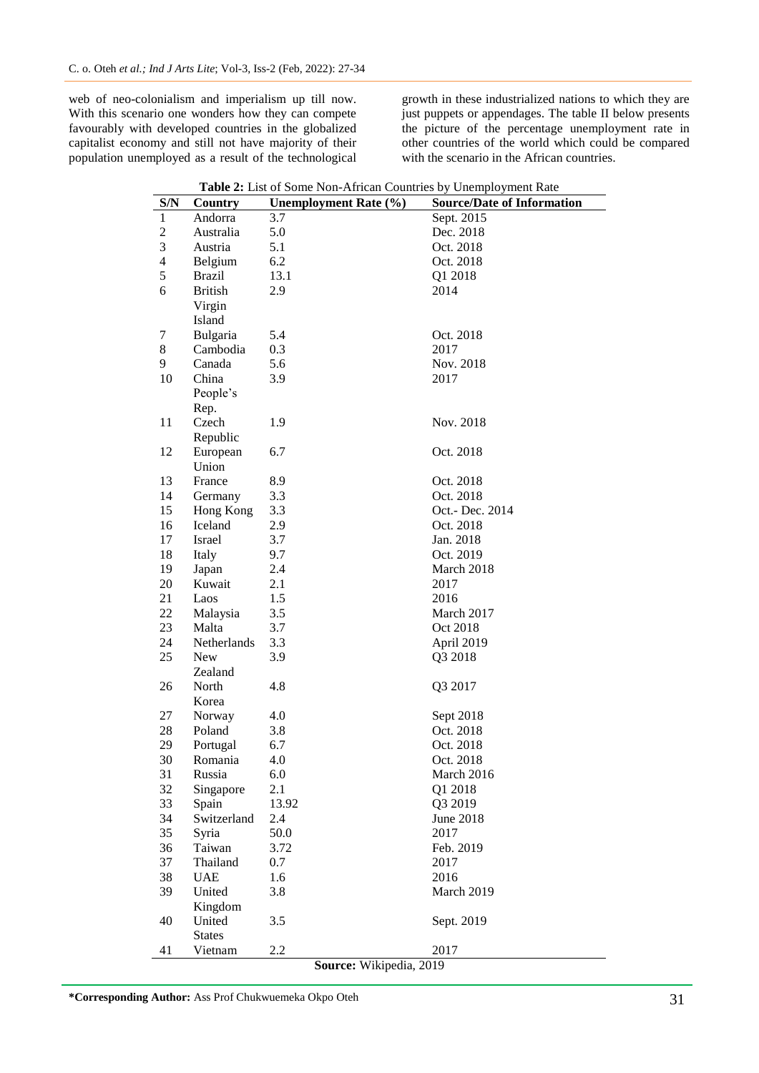web of neo-colonialism and imperialism up till now. With this scenario one wonders how they can compete favourably with developed countries in the globalized capitalist economy and still not have majority of their population unemployed as a result of the technological

growth in these industrialized nations to which they are just puppets or appendages. The table II below presents the picture of the percentage unemployment rate in other countries of the world which could be compared with the scenario in the African countries.

**Table 2:** List of Some Non-African Countries by Unemployment Rate

| S/N                      | Country                 | <b>Table 2.</b> List of Some ivon-Affican Countries by Onemployment Nate<br><b>Unemployment Rate (%)</b> | <b>Source/Date of Information</b> |  |
|--------------------------|-------------------------|----------------------------------------------------------------------------------------------------------|-----------------------------------|--|
| $\mathbf{1}$             | Andorra                 | 3.7                                                                                                      | Sept. 2015                        |  |
| $\overline{c}$           | Australia               | 5.0                                                                                                      | Dec. 2018                         |  |
| 3                        | Austria                 | 5.1                                                                                                      | Oct. 2018                         |  |
| $\overline{\mathcal{L}}$ |                         | 6.2                                                                                                      | Oct. 2018                         |  |
| 5                        | Belgium                 |                                                                                                          |                                   |  |
|                          | <b>Brazil</b>           | 13.1                                                                                                     | Q1 2018                           |  |
| 6                        | <b>British</b>          | 2.9                                                                                                      | 2014                              |  |
|                          | Virgin                  |                                                                                                          |                                   |  |
|                          | Island                  |                                                                                                          |                                   |  |
| 7                        | Bulgaria                | 5.4                                                                                                      | Oct. 2018                         |  |
| 8                        | Cambodia                | 0.3                                                                                                      | 2017                              |  |
| 9                        | Canada                  | 5.6                                                                                                      | Nov. 2018                         |  |
| 10                       | China                   | 3.9                                                                                                      | 2017                              |  |
|                          | People's                |                                                                                                          |                                   |  |
|                          | Rep.                    |                                                                                                          |                                   |  |
| 11                       | Czech                   | 1.9                                                                                                      | Nov. 2018                         |  |
|                          | Republic                |                                                                                                          |                                   |  |
| 12                       | European                | 6.7                                                                                                      | Oct. 2018                         |  |
|                          | Union                   |                                                                                                          |                                   |  |
| 13                       | France                  | 8.9                                                                                                      | Oct. 2018                         |  |
| 14                       | Germany                 | 3.3                                                                                                      | Oct. 2018                         |  |
| 15                       | Hong Kong               | 3.3                                                                                                      | Oct.- Dec. 2014                   |  |
| 16                       | Iceland                 | 2.9                                                                                                      | Oct. 2018                         |  |
| 17                       | Israel                  | 3.7                                                                                                      | Jan. 2018                         |  |
| 18                       | Italy                   | 9.7                                                                                                      | Oct. 2019                         |  |
| 19                       | Japan                   | 2.4                                                                                                      | March 2018                        |  |
| 20                       | Kuwait                  | 2.1                                                                                                      | 2017                              |  |
| 21                       | Laos                    | 1.5                                                                                                      | 2016                              |  |
| 22                       | Malaysia                | 3.5                                                                                                      | March 2017                        |  |
| 23                       | Malta                   | 3.7                                                                                                      | Oct 2018                          |  |
| 24                       | Netherlands             | 3.3                                                                                                      | April 2019                        |  |
| 25                       | New                     | 3.9                                                                                                      | Q3 2018                           |  |
|                          | Zealand                 |                                                                                                          |                                   |  |
| 26                       | North                   | 4.8                                                                                                      | Q3 2017                           |  |
|                          | Korea                   |                                                                                                          |                                   |  |
| 27                       | Norway                  | 4.0                                                                                                      | Sept 2018                         |  |
| 28                       | Poland                  | 3.8                                                                                                      | Oct. 2018                         |  |
| 29                       | Portugal                | 6.7                                                                                                      | Oct. 2018                         |  |
| 30                       | Romania                 | 4.0                                                                                                      | Oct. 2018                         |  |
| 31                       | Russia                  | 6.0                                                                                                      | March 2016                        |  |
| 32                       | Singapore               | 2.1                                                                                                      | Q1 2018                           |  |
| 33                       | Spain                   | 13.92                                                                                                    | Q3 2019                           |  |
| 34                       | Switzerland             | 2.4                                                                                                      | June 2018                         |  |
| 35                       | Syria                   | 50.0                                                                                                     | 2017                              |  |
| 36                       | Taiwan                  | 3.72                                                                                                     | Feb. 2019                         |  |
| 37                       | Thailand                | 0.7                                                                                                      | 2017                              |  |
| 38                       | <b>UAE</b>              | 1.6                                                                                                      | 2016                              |  |
| 39                       | United                  | 3.8                                                                                                      | March 2019                        |  |
|                          | Kingdom                 |                                                                                                          |                                   |  |
| 40                       | United                  | 3.5                                                                                                      | Sept. 2019                        |  |
|                          | <b>States</b>           |                                                                                                          |                                   |  |
| 41                       | Vietnam                 | 2.2                                                                                                      | 2017                              |  |
|                          | Source: Wikipedia, 2019 |                                                                                                          |                                   |  |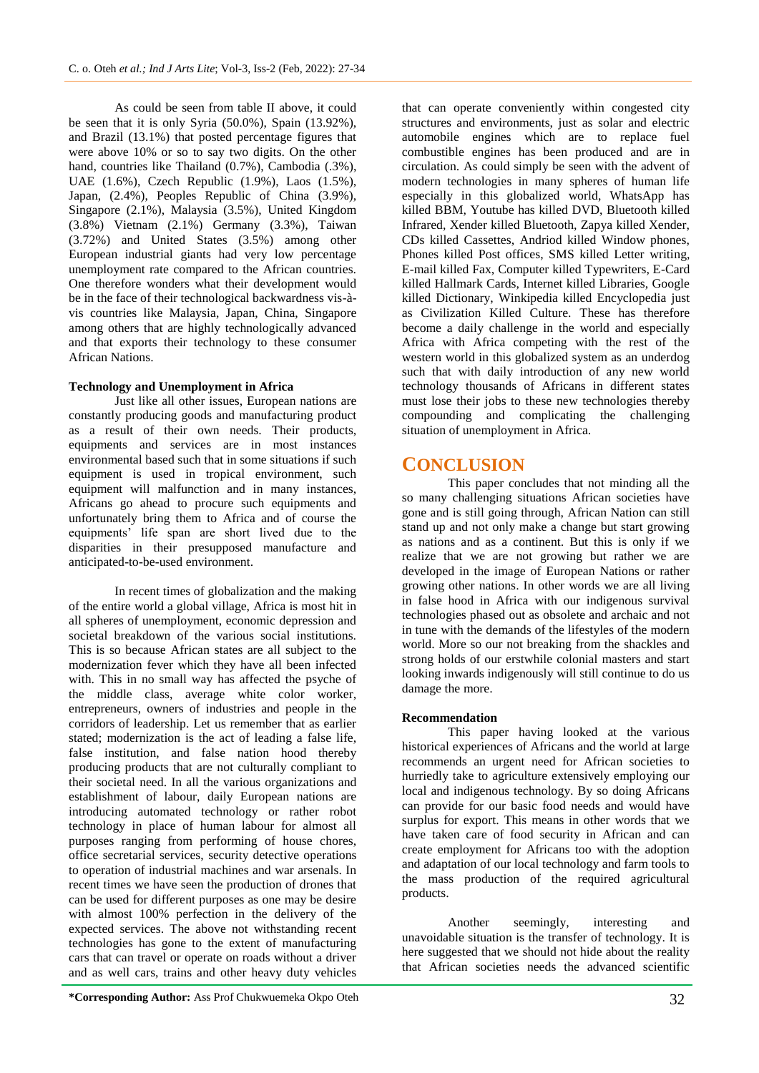As could be seen from table II above, it could be seen that it is only Syria (50.0%), Spain (13.92%), and Brazil (13.1%) that posted percentage figures that were above 10% or so to say two digits. On the other hand, countries like Thailand (0.7%), Cambodia (.3%), UAE (1.6%), Czech Republic (1.9%), Laos (1.5%), Japan, (2.4%), Peoples Republic of China (3.9%), Singapore (2.1%), Malaysia (3.5%), United Kingdom (3.8%) Vietnam (2.1%) Germany (3.3%), Taiwan (3.72%) and United States (3.5%) among other European industrial giants had very low percentage unemployment rate compared to the African countries. One therefore wonders what their development would be in the face of their technological backwardness vis-àvis countries like Malaysia, Japan, China, Singapore among others that are highly technologically advanced and that exports their technology to these consumer African Nations.

## **Technology and Unemployment in Africa**

Just like all other issues, European nations are constantly producing goods and manufacturing product as a result of their own needs. Their products, equipments and services are in most instances environmental based such that in some situations if such equipment is used in tropical environment, such equipment will malfunction and in many instances, Africans go ahead to procure such equipments and unfortunately bring them to Africa and of course the equipments' life span are short lived due to the disparities in their presupposed manufacture and anticipated-to-be-used environment.

In recent times of globalization and the making of the entire world a global village, Africa is most hit in all spheres of unemployment, economic depression and societal breakdown of the various social institutions. This is so because African states are all subject to the modernization fever which they have all been infected with. This in no small way has affected the psyche of the middle class, average white color worker, entrepreneurs, owners of industries and people in the corridors of leadership. Let us remember that as earlier stated; modernization is the act of leading a false life, false institution, and false nation hood thereby producing products that are not culturally compliant to their societal need. In all the various organizations and establishment of labour, daily European nations are introducing automated technology or rather robot technology in place of human labour for almost all purposes ranging from performing of house chores, office secretarial services, security detective operations to operation of industrial machines and war arsenals. In recent times we have seen the production of drones that can be used for different purposes as one may be desire with almost 100% perfection in the delivery of the expected services. The above not withstanding recent technologies has gone to the extent of manufacturing cars that can travel or operate on roads without a driver and as well cars, trains and other heavy duty vehicles

that can operate conveniently within congested city structures and environments, just as solar and electric automobile engines which are to replace fuel combustible engines has been produced and are in circulation. As could simply be seen with the advent of modern technologies in many spheres of human life especially in this globalized world, WhatsApp has killed BBM, Youtube has killed DVD, Bluetooth killed Infrared, Xender killed Bluetooth, Zapya killed Xender, CDs killed Cassettes, Andriod killed Window phones, Phones killed Post offices, SMS killed Letter writing, E-mail killed Fax, Computer killed Typewriters, E-Card killed Hallmark Cards, Internet killed Libraries, Google killed Dictionary, Winkipedia killed Encyclopedia just as Civilization Killed Culture. These has therefore become a daily challenge in the world and especially Africa with Africa competing with the rest of the western world in this globalized system as an underdog such that with daily introduction of any new world technology thousands of Africans in different states must lose their jobs to these new technologies thereby compounding and complicating the challenging situation of unemployment in Africa.

## **CONCLUSION**

This paper concludes that not minding all the so many challenging situations African societies have gone and is still going through, African Nation can still stand up and not only make a change but start growing as nations and as a continent. But this is only if we realize that we are not growing but rather we are developed in the image of European Nations or rather growing other nations. In other words we are all living in false hood in Africa with our indigenous survival technologies phased out as obsolete and archaic and not in tune with the demands of the lifestyles of the modern world. More so our not breaking from the shackles and strong holds of our erstwhile colonial masters and start looking inwards indigenously will still continue to do us damage the more.

### **Recommendation**

This paper having looked at the various historical experiences of Africans and the world at large recommends an urgent need for African societies to hurriedly take to agriculture extensively employing our local and indigenous technology. By so doing Africans can provide for our basic food needs and would have surplus for export. This means in other words that we have taken care of food security in African and can create employment for Africans too with the adoption and adaptation of our local technology and farm tools to the mass production of the required agricultural products.

Another seemingly, interesting and unavoidable situation is the transfer of technology. It is here suggested that we should not hide about the reality that African societies needs the advanced scientific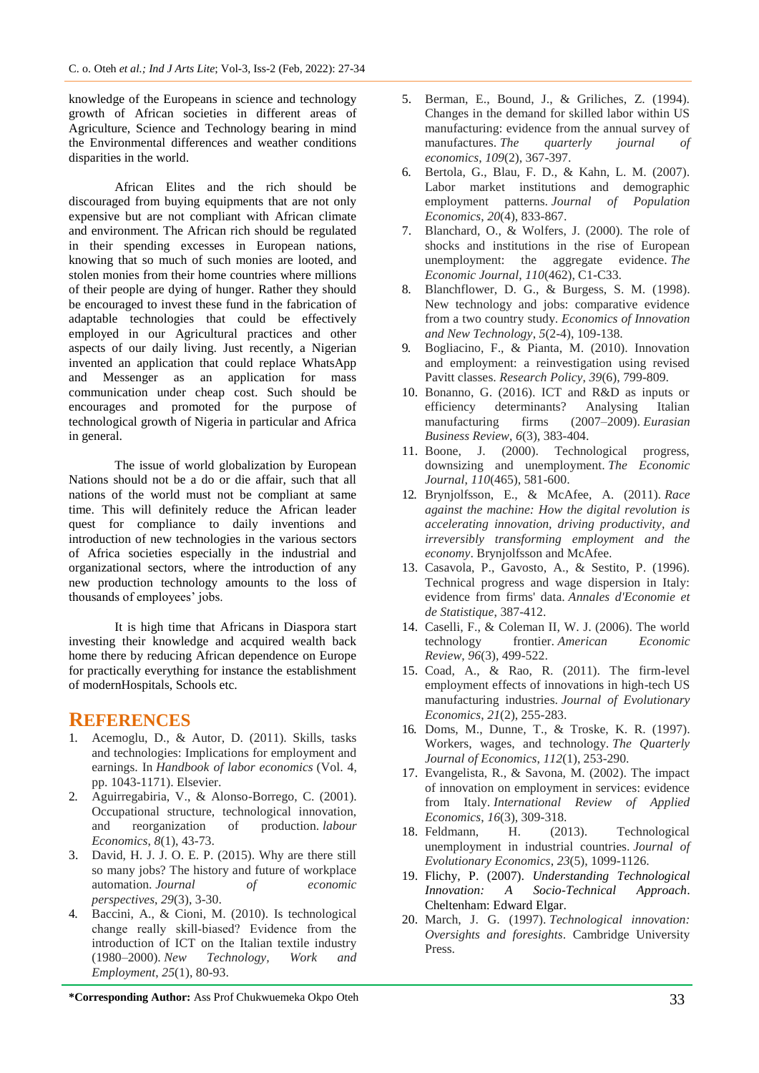knowledge of the Europeans in science and technology growth of African societies in different areas of Agriculture, Science and Technology bearing in mind the Environmental differences and weather conditions disparities in the world.

African Elites and the rich should be discouraged from buying equipments that are not only expensive but are not compliant with African climate and environment. The African rich should be regulated in their spending excesses in European nations, knowing that so much of such monies are looted, and stolen monies from their home countries where millions of their people are dying of hunger. Rather they should be encouraged to invest these fund in the fabrication of adaptable technologies that could be effectively employed in our Agricultural practices and other aspects of our daily living. Just recently, a Nigerian invented an application that could replace WhatsApp and Messenger as an application for mass communication under cheap cost. Such should be encourages and promoted for the purpose of technological growth of Nigeria in particular and Africa in general.

The issue of world globalization by European Nations should not be a do or die affair, such that all nations of the world must not be compliant at same time. This will definitely reduce the African leader quest for compliance to daily inventions and introduction of new technologies in the various sectors of Africa societies especially in the industrial and organizational sectors, where the introduction of any new production technology amounts to the loss of thousands of employees' jobs.

It is high time that Africans in Diaspora start investing their knowledge and acquired wealth back home there by reducing African dependence on Europe for practically everything for instance the establishment of modernHospitals, Schools etc.

## **REFERENCES**

- 1. Acemoglu, D., & Autor, D. (2011). Skills, tasks and technologies: Implications for employment and earnings. In *Handbook of labor economics* (Vol. 4, pp. 1043-1171). Elsevier.
- 2. Aguirregabiria, V., & Alonso-Borrego, C. (2001). Occupational structure, technological innovation, and reorganization of production. *labour Economics*, *8*(1), 43-73.
- 3. David, H. J. J. O. E. P. (2015). Why are there still so many jobs? The history and future of workplace automation. *Journal of economic perspectives*, *29*(3), 3-30.
- 4. Baccini, A., & Cioni, M. (2010). Is technological change really skill‐biased? Evidence from the introduction of ICT on the Italian textile industry (1980–2000). *New Technology, Work and Employment*, *25*(1), 80-93.
- 5. Berman, E., Bound, J., & Griliches, Z. (1994). Changes in the demand for skilled labor within US manufacturing: evidence from the annual survey of manufactures. *The quarterly journal of economics*, *109*(2), 367-397.
- 6. Bertola, G., Blau, F. D., & Kahn, L. M. (2007). Labor market institutions and demographic employment patterns. *Journal of Population Economics*, *20*(4), 833-867.
- 7. Blanchard, O., & Wolfers, J. (2000). The role of shocks and institutions in the rise of European unemployment: the aggregate evidence. *The Economic Journal*, *110*(462), C1-C33.
- 8. Blanchflower, D. G., & Burgess, S. M. (1998). New technology and jobs: comparative evidence from a two country study. *Economics of Innovation and New Technology*, *5*(2-4), 109-138.
- 9. Bogliacino, F., & Pianta, M. (2010). Innovation and employment: a reinvestigation using revised Pavitt classes. *Research Policy*, *39*(6), 799-809.
- 10. Bonanno, G. (2016). ICT and R&D as inputs or efficiency determinants? Analysing Italian manufacturing firms (2007–2009). *Eurasian Business Review*, *6*(3), 383-404.
- 11. Boone, J. (2000). Technological progress, downsizing and unemployment. *The Economic Journal*, *110*(465), 581-600.
- 12. Brynjolfsson, E., & McAfee, A. (2011). *Race against the machine: How the digital revolution is accelerating innovation, driving productivity, and irreversibly transforming employment and the economy*. Brynjolfsson and McAfee.
- 13. Casavola, P., Gavosto, A., & Sestito, P. (1996). Technical progress and wage dispersion in Italy: evidence from firms' data. *Annales d'Economie et de Statistique*, 387-412.
- 14. Caselli, F., & Coleman II, W. J. (2006). The world technology frontier. *American Economic Review*, *96*(3), 499-522.
- 15. Coad, A., & Rao, R. (2011). The firm-level employment effects of innovations in high-tech US manufacturing industries. *Journal of Evolutionary Economics*, *21*(2), 255-283.
- 16. Doms, M., Dunne, T., & Troske, K. R. (1997). Workers, wages, and technology. *The Quarterly Journal of Economics*, *112*(1), 253-290.
- 17. Evangelista, R., & Savona, M. (2002). The impact of innovation on employment in services: evidence from Italy. *International Review of Applied Economics*, *16*(3), 309-318.
- 18. Feldmann, H. (2013). Technological unemployment in industrial countries. *Journal of Evolutionary Economics*, *23*(5), 1099-1126.
- 19. Flichy, P. (2007). *Understanding Technological Innovation: A Socio-Technical Approach*. Cheltenham: Edward Elgar.
- 20. March, J. G. (1997). *Technological innovation: Oversights and foresights*. Cambridge University Press.